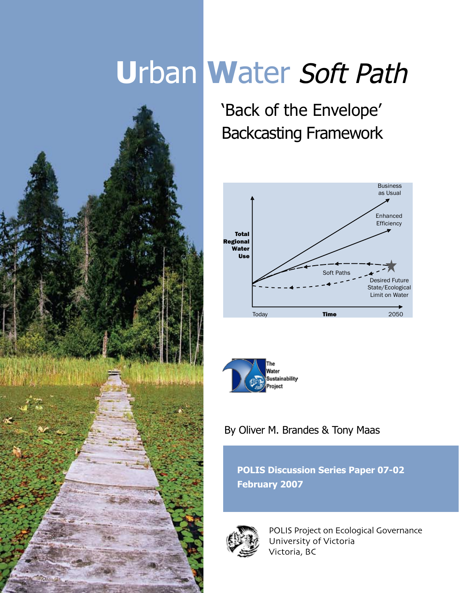# **U**rban **W**ater Soft Path



'Back of the Envelope' Backcasting Framework





# By Oliver M. Brandes & Tony Maas

**POLIS Discussion Series Paper 07-02 February 2007**



POLIS Project on Ecological Governance University of Victoria Victoria, BC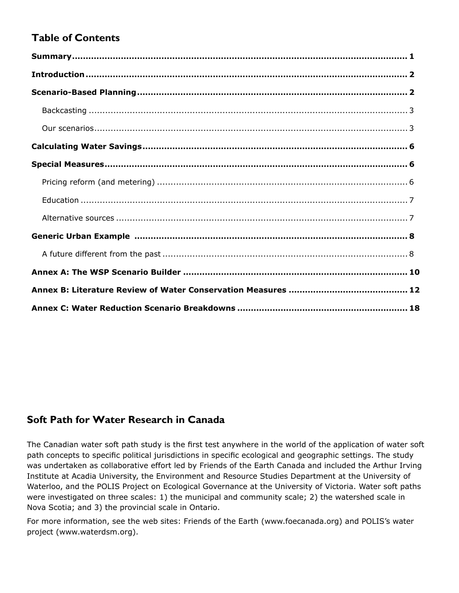# **Table of Contents**

## **Soft Path for Water Research in Canada**

The Canadian water soft path study is the first test anywhere in the world of the application of water soft path concepts to specific political jurisdictions in specific ecological and geographic settings. The study was undertaken as collaborative effort led by Friends of the Earth Canada and included the Arthur Irving Institute at Acadia University, the Environment and Resource Studies Department at the University of Waterloo, and the POLIS Project on Ecological Governance at the University of Victoria. Water soft paths were investigated on three scales: 1) the municipal and community scale; 2) the watershed scale in Nova Scotia; and 3) the provincial scale in Ontario.

For more information, see the web sites: Friends of the Earth (www.foecanada.org) and POLIS's water project (www.waterdsm.org).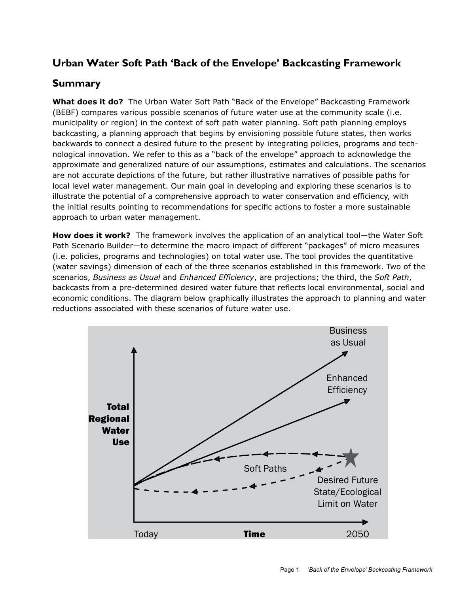# **Urban Water Soft Path 'Back of the Envelope' Backcasting Framework**

## **Summary**

**What does it do?** The Urban Water Soft Path "Back of the Envelope" Backcasting Framework (BEBF) compares various possible scenarios of future water use at the community scale (i.e. municipality or region) in the context of soft path water planning. Soft path planning employs backcasting, a planning approach that begins by envisioning possible future states, then works backwards to connect a desired future to the present by integrating policies, programs and technological innovation. We refer to this as a "back of the envelope" approach to acknowledge the approximate and generalized nature of our assumptions, estimates and calculations. The scenarios are not accurate depictions of the future, but rather illustrative narratives of possible paths for local level water management. Our main goal in developing and exploring these scenarios is to illustrate the potential of a comprehensive approach to water conservation and efficiency, with the initial results pointing to recommendations for specific actions to foster a more sustainable approach to urban water management.

**How does it work?** The framework involves the application of an analytical tool—the Water Soft Path Scenario Builder—to determine the macro impact of different "packages" of micro measures (i.e. policies, programs and technologies) on total water use. The tool provides the quantitative (water savings) dimension of each of the three scenarios established in this framework. Two of the scenarios, *Business as Usual* and *Enhanced Efficiency*, are projections; the third, the *Soft Path*, backcasts from a pre-determined desired water future that reflects local environmental, social and economic conditions. The diagram below graphically illustrates the approach to planning and water reductions associated with these scenarios of future water use.

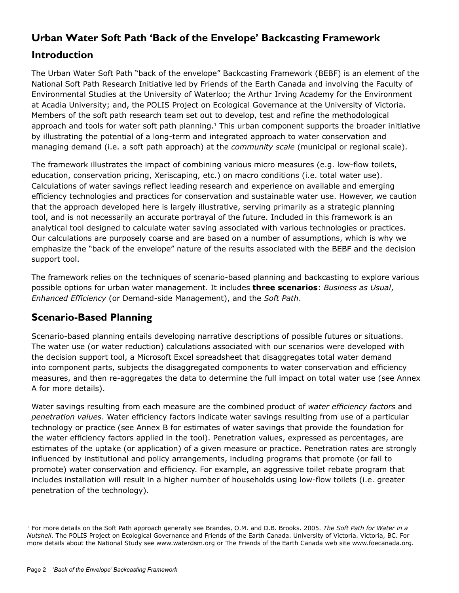# **Urban Water Soft Path 'Back of the Envelope' Backcasting Framework**

# **Introduction**

The Urban Water Soft Path "back of the envelope" Backcasting Framework (BEBF) is an element of the National Soft Path Research Initiative led by Friends of the Earth Canada and involving the Faculty of Environmental Studies at the University of Waterloo; the Arthur Irving Academy for the Environment at Acadia University; and, the POLIS Project on Ecological Governance at the University of Victoria. Members of the soft path research team set out to develop, test and refine the methodological approach and tools for water soft path planning.<sup>1</sup> This urban component supports the broader initiative by illustrating the potential of a long-term and integrated approach to water conservation and managing demand (i.e. a soft path approach) at the *community scale* (municipal or regional scale).

The framework illustrates the impact of combining various micro measures (e.g. low-flow toilets, education, conservation pricing, Xeriscaping, etc.) on macro conditions (i.e. total water use). Calculations of water savings reflect leading research and experience on available and emerging efficiency technologies and practices for conservation and sustainable water use. However, we caution that the approach developed here is largely illustrative, serving primarily as a strategic planning tool, and is not necessarily an accurate portrayal of the future. Included in this framework is an analytical tool designed to calculate water saving associated with various technologies or practices. Our calculations are purposely coarse and are based on a number of assumptions, which is why we emphasize the "back of the envelope" nature of the results associated with the BEBF and the decision support tool.

The framework relies on the techniques of scenario-based planning and backcasting to explore various possible options for urban water management. It includes **three scenarios**: *Business as Usual*, *Enhanced Efficiency* (or Demand-side Management), and the *Soft Path*.

# **Scenario-Based Planning**

Scenario-based planning entails developing narrative descriptions of possible futures or situations. The water use (or water reduction) calculations associated with our scenarios were developed with the decision support tool, a Microsoft Excel spreadsheet that disaggregates total water demand into component parts, subjects the disaggregated components to water conservation and efficiency measures, and then re-aggregates the data to determine the full impact on total water use (see Annex A for more details).

Water savings resulting from each measure are the combined product of *water efficiency factors* and *penetration values*. Water efficiency factors indicate water savings resulting from use of a particular technology or practice (see Annex B for estimates of water savings that provide the foundation for the water efficiency factors applied in the tool). Penetration values, expressed as percentages, are estimates of the uptake (or application) of a given measure or practice. Penetration rates are strongly influenced by institutional and policy arrangements, including programs that promote (or fail to promote) water conservation and efficiency. For example, an aggressive toilet rebate program that includes installation will result in a higher number of households using low-flow toilets (i.e. greater penetration of the technology).

<sup>1.</sup> For more details on the Soft Path approach generally see Brandes, O.M. and D.B. Brooks. 2005. *The Soft Path for Water in a Nutshell*. The POLIS Project on Ecological Governance and Friends of the Earth Canada. University of Victoria. Victoria, BC. For more details about the National Study see www.waterdsm.org or The Friends of the Earth Canada web site www.foecanada.org.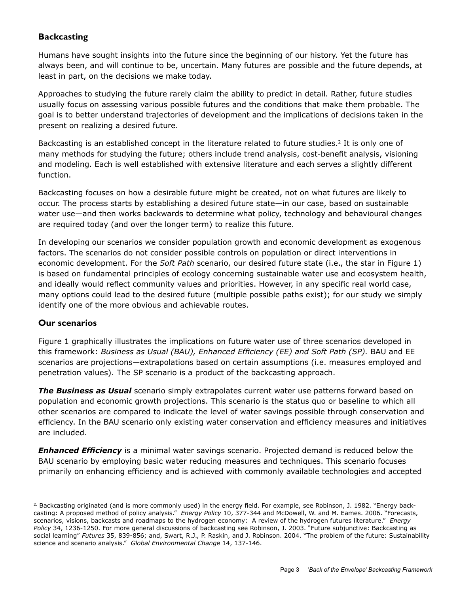#### **Backcasting**

Humans have sought insights into the future since the beginning of our history. Yet the future has always been, and will continue to be, uncertain. Many futures are possible and the future depends, at least in part, on the decisions we make today.

Approaches to studying the future rarely claim the ability to predict in detail. Rather, future studies usually focus on assessing various possible futures and the conditions that make them probable. The goal is to better understand trajectories of development and the implications of decisions taken in the present on realizing a desired future.

Backcasting is an established concept in the literature related to future studies.<sup>2</sup> It is only one of many methods for studying the future; others include trend analysis, cost-benefit analysis, visioning and modeling. Each is well established with extensive literature and each serves a slightly different function.

Backcasting focuses on how a desirable future might be created, not on what futures are likely to occur. The process starts by establishing a desired future state—in our case, based on sustainable water use—and then works backwards to determine what policy, technology and behavioural changes are required today (and over the longer term) to realize this future.

In developing our scenarios we consider population growth and economic development as exogenous factors. The scenarios do not consider possible controls on population or direct interventions in economic development. For the *Soft Path* scenario, our desired future state (i.e., the star in Figure 1) is based on fundamental principles of ecology concerning sustainable water use and ecosystem health, and ideally would reflect community values and priorities. However, in any specific real world case, many options could lead to the desired future (multiple possible paths exist); for our study we simply identify one of the more obvious and achievable routes.

#### **Our scenarios**

Figure 1 graphically illustrates the implications on future water use of three scenarios developed in this framework: *Business as Usual (BAU), Enhanced Efficiency (EE) and Soft Path (SP).* BAU and EE scenarios are projections—extrapolations based on certain assumptions (i.e. measures employed and penetration values). The SP scenario is a product of the backcasting approach.

*The Business as Usual* scenario simply extrapolates current water use patterns forward based on population and economic growth projections. This scenario is the status quo or baseline to which all other scenarios are compared to indicate the level of water savings possible through conservation and efficiency. In the BAU scenario only existing water conservation and efficiency measures and initiatives are included.

*Enhanced Efficiency* is a minimal water savings scenario. Projected demand is reduced below the BAU scenario by employing basic water reducing measures and techniques. This scenario focuses primarily on enhancing efficiency and is achieved with commonly available technologies and accepted

<sup>2.</sup> Backcasting originated (and is more commonly used) in the energy field. For example, see Robinson, J. 1982. "Energy backcasting: A proposed method of policy analysis." *Energy Policy* 10, 377-344 and McDowell, W. and M. Eames. 2006. "Forecasts, scenarios, visions, backcasts and roadmaps to the hydrogen economy: A review of the hydrogen futures literature." *Energy Policy* 34, 1236-1250. For more general discussions of backcasting see Robinson, J. 2003. "Future subjunctive: Backcasting as social learning" *Futures* 35, 839-856; and, Swart, R.J., P. Raskin, and J. Robinson. 2004. "The problem of the future: Sustainability science and scenario analysis." *Global Environmental Change* 14, 137-146.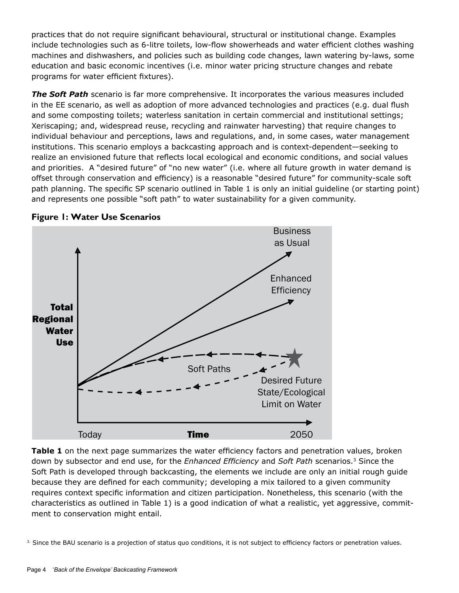practices that do not require significant behavioural, structural or institutional change. Examples include technologies such as 6-litre toilets, low-flow showerheads and water efficient clothes washing machines and dishwashers, and policies such as building code changes, lawn watering by-laws, some education and basic economic incentives (i.e. minor water pricing structure changes and rebate programs for water efficient fixtures).

*The Soft Path* scenario is far more comprehensive. It incorporates the various measures included in the EE scenario, as well as adoption of more advanced technologies and practices (e.g. dual flush and some composting toilets; waterless sanitation in certain commercial and institutional settings; Xeriscaping; and, widespread reuse, recycling and rainwater harvesting) that require changes to individual behaviour and perceptions, laws and regulations, and, in some cases, water management institutions. This scenario employs a backcasting approach and is context-dependent—seeking to realize an envisioned future that reflects local ecological and economic conditions, and social values and priorities. A "desired future" of "no new water" (i.e. where all future growth in water demand is offset through conservation and efficiency) is a reasonable "desired future" for community-scale soft path planning. The specific SP scenario outlined in Table 1 is only an initial guideline (or starting point) and represents one possible "soft path" to water sustainability for a given community.



#### **Figure 1: Water Use Scenarios**

**Table 1** on the next page summarizes the water efficiency factors and penetration values, broken down by subsector and end use, for the *Enhanced Efficiency* and *Soft Path* scenarios.3 Since the Soft Path is developed through backcasting, the elements we include are only an initial rough guide because they are defined for each community; developing a mix tailored to a given community requires context specific information and citizen participation. Nonetheless, this scenario (with the characteristics as outlined in Table 1) is a good indication of what a realistic, yet aggressive, commitment to conservation might entail.

3. Since the BAU scenario is a projection of status quo conditions, it is not subject to efficiency factors or penetration values.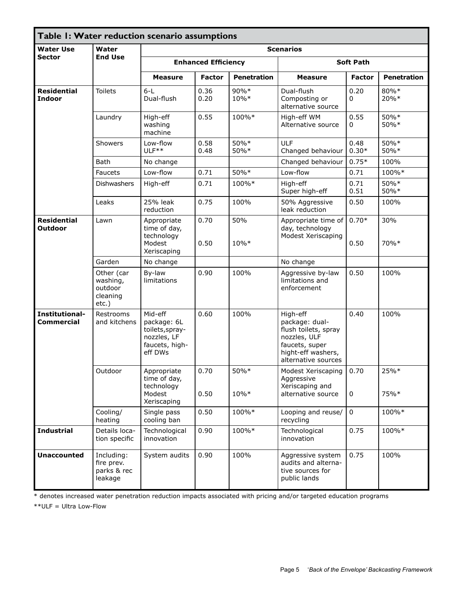| <b>Water Use</b><br>Sector                                                                                                                                                                                     | Water<br><b>End Use</b>                                |                                                                                       |                            |                    | <b>Scenarios</b>                                                                                                                  |                 |                    |
|----------------------------------------------------------------------------------------------------------------------------------------------------------------------------------------------------------------|--------------------------------------------------------|---------------------------------------------------------------------------------------|----------------------------|--------------------|-----------------------------------------------------------------------------------------------------------------------------------|-----------------|--------------------|
|                                                                                                                                                                                                                |                                                        |                                                                                       | <b>Enhanced Efficiency</b> |                    | <b>Soft Path</b>                                                                                                                  |                 |                    |
| Table I: Water reduction scenario assumptions<br><b>Residential</b><br><b>Indoor</b><br><b>Residential</b><br><b>Outdoor</b><br>Institutional-<br><b>Commercial</b><br><b>Industrial</b><br><b>Unaccounted</b> |                                                        | <b>Measure</b>                                                                        | <b>Factor</b>              | <b>Penetration</b> | <b>Measure</b>                                                                                                                    | <b>Factor</b>   | <b>Penetration</b> |
|                                                                                                                                                                                                                | <b>Toilets</b>                                         | $6-L$<br>Dual-flush                                                                   | 0.36<br>0.20               | 90%*<br>10%*       | Dual-flush<br>Composting or<br>alternative source                                                                                 | 0.20<br>0       | 80%*<br>20%*       |
|                                                                                                                                                                                                                | Laundry                                                | High-eff<br>washing<br>machine                                                        | 0.55                       | 100%*              | High-eff WM<br>Alternative source                                                                                                 | 0.55<br>0       | 50%*<br>50%*       |
|                                                                                                                                                                                                                | <b>Showers</b>                                         | Low-flow<br>ULF <sup>**</sup>                                                         | 0.58<br>0.48               | 50%*<br>50%*       | <b>ULF</b><br>Changed behaviour                                                                                                   | 0.48<br>$0.30*$ | 50%*<br>50%*       |
|                                                                                                                                                                                                                | <b>Bath</b>                                            | No change                                                                             |                            |                    | Changed behaviour                                                                                                                 | $0.75*$         | 100%               |
|                                                                                                                                                                                                                | Faucets                                                | Low-flow                                                                              | 0.71                       | 50%*               | Low-flow                                                                                                                          | 0.71            | 100%*              |
|                                                                                                                                                                                                                | <b>Dishwashers</b>                                     | High-eff                                                                              | 0.71                       | 100%*              | High-eff<br>Super high-eff                                                                                                        | 0.71<br>0.51    | 50%*<br>50%*       |
|                                                                                                                                                                                                                | Leaks                                                  | 25% leak<br>reduction                                                                 | 0.75                       | 100%               | 50% Aggressive<br>leak reduction                                                                                                  | 0.50            | 100%               |
|                                                                                                                                                                                                                | Lawn                                                   | Appropriate<br>time of day,<br>technology                                             | 0.70                       | 50%                | Appropriate time of<br>day, technology<br>Modest Xeriscaping                                                                      | $0.70*$         | 30%                |
|                                                                                                                                                                                                                |                                                        | Modest<br>Xeriscaping                                                                 | 0.50                       | $10\%*$            |                                                                                                                                   | 0.50            | 70%*               |
|                                                                                                                                                                                                                | Garden                                                 | No change                                                                             |                            |                    | No change                                                                                                                         |                 |                    |
|                                                                                                                                                                                                                | Other (car<br>washing,<br>outdoor<br>cleaning<br>etc.) | By-law<br>limitations                                                                 | 0.90                       | 100%               | Aggressive by-law<br>limitations and<br>enforcement                                                                               | 0.50            | 100%               |
|                                                                                                                                                                                                                | Restrooms<br>and kitchens                              | Mid-eff<br>package: 6L<br>toilets, spray-<br>nozzles, LF<br>faucets, high-<br>eff DWs | 0.60                       | 100%               | High-eff<br>package: dual-<br>flush toilets, spray<br>nozzles, ULF<br>faucets, super<br>hight-eff washers,<br>alternative sources | 0.40            | 100%               |
|                                                                                                                                                                                                                | Outdoor                                                | Appropriate<br>time of day,<br>technology<br>Modest<br>Xeriscaping                    | 0.70<br>0.50               | 50%*<br>$10\%*$    | Modest Xeriscaping<br>Aggressive<br>Xeriscaping and<br>alternative source                                                         | 0.70<br>0       | 25%*<br>75%*       |
|                                                                                                                                                                                                                | Cooling/<br>heating                                    | Single pass<br>cooling ban                                                            | 0.50                       | 100%*              | Looping and reuse/<br>recycling                                                                                                   | $\mathbf 0$     | 100%*              |
|                                                                                                                                                                                                                | Details loca-<br>tion specific                         | Technological<br>innovation                                                           | 0.90                       | 100%*              | Technological<br>innovation                                                                                                       | 0.75            | 100%*              |
|                                                                                                                                                                                                                | Including:<br>fire prev.<br>parks & rec<br>leakage     | System audits                                                                         | 0.90                       | 100%               | Aggressive system<br>audits and alterna-<br>tive sources for<br>public lands                                                      | 0.75            | 100%               |

\* denotes increased water penetration reduction impacts associated with pricing and/or targeted education programs

\*\*ULF = Ultra Low-Flow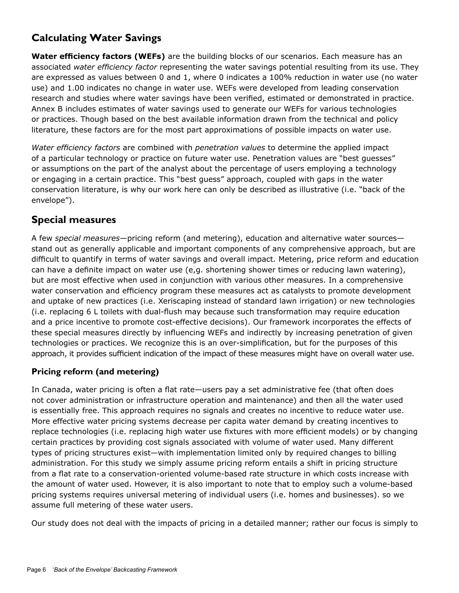# **Calculating Water Savings**

**Water efficiency factors (WEFs)** are the building blocks of our scenarios. Each measure has an associated *water efficiency factor* representing the water savings potential resulting from its use. They are expressed as values between 0 and 1, where 0 indicates a 100% reduction in water use (no water use) and 1.00 indicates no change in water use. WEFs were developed from leading conservation research and studies where water savings have been verified, estimated or demonstrated in practice. Annex B includes estimates of water savings used to generate our WEFs for various technologies or practices. Though based on the best available information drawn from the technical and policy literature, these factors are for the most part approximations of possible impacts on water use.

*Water efficiency factors* are combined with *penetration values* to determine the applied impact of a particular technology or practice on future water use. Penetration values are "best guesses" or assumptions on the part of the analyst about the percentage of users employing a technology or engaging in a certain practice. This "best guess" approach, coupled with gaps in the water conservation literature, is why our work here can only be described as illustrative (i.e. "back of the envelope").

## **Special measures**

A few *special measures*—pricing reform (and metering), education and alternative water sources stand out as generally applicable and important components of any comprehensive approach, but are difficult to quantify in terms of water savings and overall impact. Metering, price reform and education can have a definite impact on water use (e,g. shortening shower times or reducing lawn watering), but are most effective when used in conjunction with various other measures. In a comprehensive water conservation and efficiency program these measures act as catalysts to promote development and uptake of new practices (i.e. Xeriscaping instead of standard lawn irrigation) or new technologies (i.e. replacing 6 L toilets with dual-flush may because such transformation may require education and a price incentive to promote cost-effective decisions). Our framework incorporates the effects of these special measures directly by influencing WEFs and indirectly by increasing penetration of given technologies or practices. We recognize this is an over-simplification, but for the purposes of this approach, it provides sufficient indication of the impact of these measures might have on overall water use.

## **Pricing reform (and metering)**

In Canada, water pricing is often a flat rate—users pay a set administrative fee (that often does not cover administration or infrastructure operation and maintenance) and then all the water used is essentially free. This approach requires no signals and creates no incentive to reduce water use. More effective water pricing systems decrease per capita water demand by creating incentives to replace technologies (i.e. replacing high water use fixtures with more efficient models) or by changing certain practices by providing cost signals associated with volume of water used. Many different types of pricing structures exist—with implementation limited only by required changes to billing administration. For this study we simply assume pricing reform entails a shift in pricing structure from a flat rate to a conservation-oriented volume-based rate structure in which costs increase with the amount of water used. However, it is also important to note that to employ such a volume-based pricing systems requires universal metering of individual users (i.e. homes and businesses). so we assume full metering of these water users.

Our study does not deal with the impacts of pricing in a detailed manner; rather our focus is simply to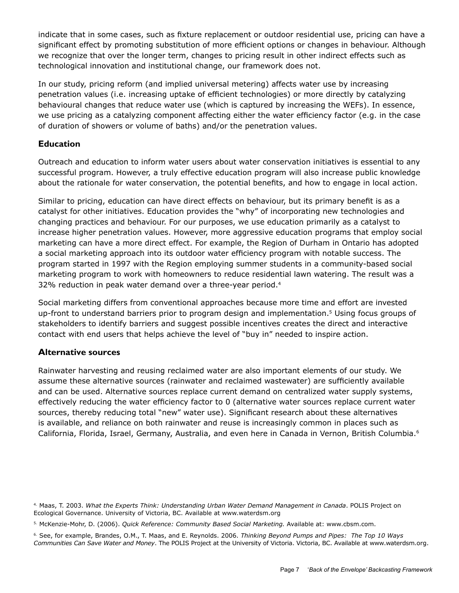indicate that in some cases, such as fixture replacement or outdoor residential use, pricing can have a significant effect by promoting substitution of more efficient options or changes in behaviour. Although we recognize that over the longer term, changes to pricing result in other indirect effects such as technological innovation and institutional change, our framework does not.

In our study, pricing reform (and implied universal metering) affects water use by increasing penetration values (i.e. increasing uptake of efficient technologies) or more directly by catalyzing behavioural changes that reduce water use (which is captured by increasing the WEFs). In essence, we use pricing as a catalyzing component affecting either the water efficiency factor (e.g. in the case of duration of showers or volume of baths) and/or the penetration values.

#### **Education**

Outreach and education to inform water users about water conservation initiatives is essential to any successful program. However, a truly effective education program will also increase public knowledge about the rationale for water conservation, the potential benefits, and how to engage in local action.

Similar to pricing, education can have direct effects on behaviour, but its primary benefit is as a catalyst for other initiatives. Education provides the "why" of incorporating new technologies and changing practices and behaviour. For our purposes, we use education primarily as a catalyst to increase higher penetration values. However, more aggressive education programs that employ social marketing can have a more direct effect. For example, the Region of Durham in Ontario has adopted a social marketing approach into its outdoor water efficiency program with notable success. The program started in 1997 with the Region employing summer students in a community-based social marketing program to work with homeowners to reduce residential lawn watering. The result was a 32% reduction in peak water demand over a three-year period.<sup>4</sup>

Social marketing differs from conventional approaches because more time and effort are invested up-front to understand barriers prior to program design and implementation.<sup>5</sup> Using focus groups of stakeholders to identify barriers and suggest possible incentives creates the direct and interactive contact with end users that helps achieve the level of "buy in" needed to inspire action.

#### **Alternative sources**

Rainwater harvesting and reusing reclaimed water are also important elements of our study. We assume these alternative sources (rainwater and reclaimed wastewater) are sufficiently available and can be used. Alternative sources replace current demand on centralized water supply systems, effectively reducing the water efficiency factor to 0 (alternative water sources replace current water sources, thereby reducing total "new" water use). Significant research about these alternatives is available, and reliance on both rainwater and reuse is increasingly common in places such as California, Florida, Israel, Germany, Australia, and even here in Canada in Vernon, British Columbia.<sup>6</sup>

<sup>4.</sup> Maas, T. 2003. *What the Experts Think: Understanding Urban Water Demand Management in Canada*. POLIS Project on Ecological Governance. University of Victoria, BC. Available at www.waterdsm.org

<sup>5.</sup> McKenzie-Mohr, D. (2006). *Quick Reference: Community Based Social Marketing.* Available at: www.cbsm.com.

<sup>6.</sup> See, for example, Brandes, O.M., T. Maas, and E. Reynolds. 2006. *Thinking Beyond Pumps and Pipes: The Top 10 Ways Communities Can Save Water and Money*. The POLIS Project at the University of Victoria. Victoria, BC. Available at www.waterdsm.org.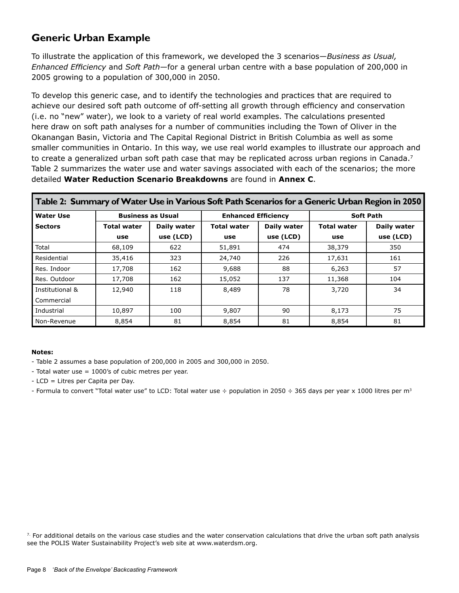## **Generic Urban Example**

To illustrate the application of this framework, we developed the 3 scenarios—*Business as Usual, Enhanced Efficiency* and *Soft Path*—for a general urban centre with a base population of 200,000 in 2005 growing to a population of 300,000 in 2050.

To develop this generic case, and to identify the technologies and practices that are required to achieve our desired soft path outcome of off-setting all growth through efficiency and conservation (i.e. no "new" water), we look to a variety of real world examples. The calculations presented here draw on soft path analyses for a number of communities including the Town of Oliver in the Okanangan Basin, Victoria and The Capital Regional District in British Columbia as well as some smaller communities in Ontario. In this way, we use real world examples to illustrate our approach and to create a generalized urban soft path case that may be replicated across urban regions in Canada.<sup>7</sup> Table 2 summarizes the water use and water savings associated with each of the scenarios; the more detailed **Water Reduction Scenario Breakdowns** are found in **Annex C**.

| Table 2: Summary of Water Use in Various Soft Path Scenarios for a Generic Urban Region in 2050 |                          |             |                    |                            |                    |             |  |  |
|-------------------------------------------------------------------------------------------------|--------------------------|-------------|--------------------|----------------------------|--------------------|-------------|--|--|
| <b>Water Use</b>                                                                                | <b>Business as Usual</b> |             |                    | <b>Enhanced Efficiency</b> | <b>Soft Path</b>   |             |  |  |
| <b>Sectors</b>                                                                                  | <b>Total water</b>       | Daily water | <b>Total water</b> | Daily water                | <b>Total water</b> | Daily water |  |  |
|                                                                                                 | use                      | use (LCD)   | use                | use (LCD)                  | use                | use (LCD)   |  |  |
| Total                                                                                           | 68,109                   | 622         | 51,891             | 474                        | 38,379             | 350         |  |  |
| Residential                                                                                     | 35,416                   | 323         | 24,740             | 226                        | 17,631             | 161         |  |  |
| Res. Indoor                                                                                     | 17,708                   | 162         | 9,688              | 88                         | 6,263              | 57          |  |  |
| Res. Outdoor                                                                                    | 17,708                   | 162         | 15,052             | 137                        | 11,368             | 104         |  |  |
| Institutional &                                                                                 | 12,940                   | 118         | 8,489              | 78                         | 3,720              | 34          |  |  |
| Commercial                                                                                      |                          |             |                    |                            |                    |             |  |  |
| Industrial                                                                                      | 10,897                   | 100         | 9,807              | 90                         | 8,173              | 75          |  |  |
| Non-Revenue                                                                                     | 8.854                    | 81          | 8,854              | 81                         | 8,854              | 81          |  |  |

#### **Notes:**

- Table 2 assumes a base population of 200,000 in 2005 and 300,000 in 2050.
- Total water use = 1000's of cubic metres per year.
- LCD = Litres per Capita per Day.
- Formula to convert "Total water use" to LCD: Total water use  $\div$  population in 2050  $\div$  365 days per year x 1000 litres per m<sup>3</sup>

 $7.$  For additional details on the various case studies and the water conservation calculations that drive the urban soft path analysis see the POLIS Water Sustainability Project's web site at www.waterdsm.org.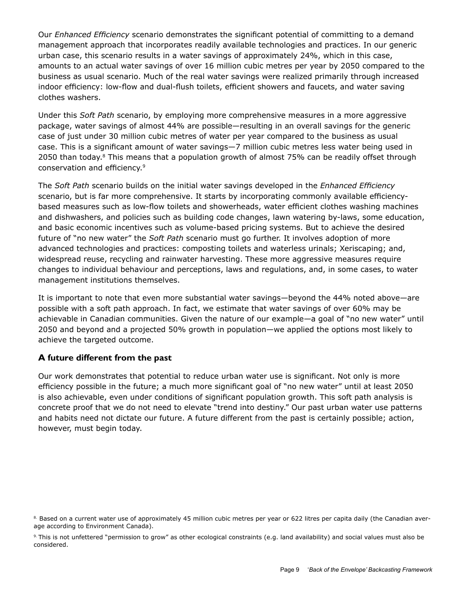Our *Enhanced Efficiency* scenario demonstrates the significant potential of committing to a demand management approach that incorporates readily available technologies and practices. In our generic urban case, this scenario results in a water savings of approximately 24%, which in this case, amounts to an actual water savings of over 16 million cubic metres per year by 2050 compared to the business as usual scenario. Much of the real water savings were realized primarily through increased indoor efficiency: low-flow and dual-flush toilets, efficient showers and faucets, and water saving clothes washers.

Under this *Soft Path* scenario, by employing more comprehensive measures in a more aggressive package, water savings of almost 44% are possible—resulting in an overall savings for the generic case of just under 30 million cubic metres of water per year compared to the business as usual case. This is a significant amount of water savings—7 million cubic metres less water being used in 2050 than today.<sup>8</sup> This means that a population growth of almost 75% can be readily offset through conservation and efficiency.9

The *Soft Path* scenario builds on the initial water savings developed in the *Enhanced Efficiency*  scenario, but is far more comprehensive. It starts by incorporating commonly available efficiencybased measures such as low-flow toilets and showerheads, water efficient clothes washing machines and dishwashers, and policies such as building code changes, lawn watering by-laws, some education, and basic economic incentives such as volume-based pricing systems. But to achieve the desired future of "no new water" the *Soft Path* scenario must go further. It involves adoption of more advanced technologies and practices: composting toilets and waterless urinals; Xeriscaping; and, widespread reuse, recycling and rainwater harvesting. These more aggressive measures require changes to individual behaviour and perceptions, laws and regulations, and, in some cases, to water management institutions themselves.

It is important to note that even more substantial water savings—beyond the 44% noted above—are possible with a soft path approach. In fact, we estimate that water savings of over 60% may be achievable in Canadian communities. Given the nature of our example—a goal of "no new water" until 2050 and beyond and a projected 50% growth in population—we applied the options most likely to achieve the targeted outcome.

#### **A future different from the past**

Our work demonstrates that potential to reduce urban water use is significant. Not only is more efficiency possible in the future; a much more significant goal of "no new water" until at least 2050 is also achievable, even under conditions of significant population growth. This soft path analysis is concrete proof that we do not need to elevate "trend into destiny." Our past urban water use patterns and habits need not dictate our future. A future different from the past is certainly possible; action, however, must begin today.

<sup>8.</sup> Based on a current water use of approximately 45 million cubic metres per year or 622 litres per capita daily (the Canadian average according to Environment Canada).

<sup>9.</sup> This is not unfettered "permission to grow" as other ecological constraints (e.g. land availability) and social values must also be considered.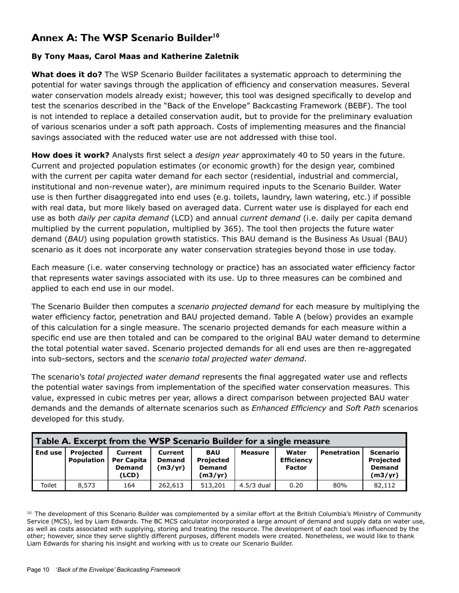## **Annex A: The WSP Scenario Builder<sup>10</sup>**

#### **By Tony Maas, Carol Maas and Katherine Zaletnik**

**What does it do?** The WSP Scenario Builder facilitates a systematic approach to determining the potential for water savings through the application of efficiency and conservation measures. Several water conservation models already exist; however, this tool was designed specifically to develop and test the scenarios described in the "Back of the Envelope" Backcasting Framework (BEBF). The tool is not intended to replace a detailed conservation audit, but to provide for the preliminary evaluation of various scenarios under a soft path approach. Costs of implementing measures and the financial savings associated with the reduced water use are not addressed with thise tool.

**How does it work?** Analysts first select a *design year* approximately 40 to 50 years in the future. Current and projected population estimates (or economic growth) for the design year, combined with the current per capita water demand for each sector (residential, industrial and commercial, institutional and non-revenue water), are minimum required inputs to the Scenario Builder. Water use is then further disaggregated into end uses (e.g. toilets, laundry, lawn watering, etc.) if possible with real data, but more likely based on averaged data. Current water use is displayed for each end use as both *daily per capita demand* (LCD) and annual *current demand* (i.e. daily per capita demand multiplied by the current population, multiplied by 365). The tool then projects the future water demand (*BAU*) using population growth statistics. This BAU demand is the Business As Usual (BAU) scenario as it does not incorporate any water conservation strategies beyond those in use today.

Each measure (i.e. water conserving technology or practice) has an associated water efficiency factor that represents water savings associated with its use. Up to three measures can be combined and applied to each end use in our model.

The Scenario Builder then computes a *scenario projected demand* for each measure by multiplying the water efficiency factor, penetration and BAU projected demand. Table A (below) provides an example of this calculation for a single measure. The scenario projected demands for each measure within a specific end use are then totaled and can be compared to the original BAU water demand to determine the total potential water saved. Scenario projected demands for all end uses are then re-aggregated into sub-sectors, sectors and the *scenario total projected water demand*.

The scenario's *total projected water demand* represents the final aggregated water use and reflects the potential water savings from implementation of the specified water conservation measures. This value, expressed in cubic metres per year, allows a direct comparison between projected BAU water demands and the demands of alternate scenarios such as *Enhanced Efficiency* and *Soft Path* scenarios developed for this study.

|         | Table A. Excerpt from the WSP Scenario Builder for a single measure |                                                        |                                     |                                                     |            |                                             |                    |                                                   |  |
|---------|---------------------------------------------------------------------|--------------------------------------------------------|-------------------------------------|-----------------------------------------------------|------------|---------------------------------------------|--------------------|---------------------------------------------------|--|
| End use | <b>Projected</b><br>Population                                      | Current<br><b>Per Capita</b><br><b>Demand</b><br>(LCD) | Current<br><b>Demand</b><br>(m3/yr) | <b>BAU</b><br>Projected<br><b>Demand</b><br>(m3/yr) | Measure    | Water<br><b>Efficiency</b><br><b>Factor</b> | <b>Penetration</b> | Scenario<br>Projected<br><b>Demand</b><br>(m3/yr) |  |
| Toilet  | 8.573                                                               | 164                                                    | 262,613                             | 513,201                                             | 4.5/3 dual | 0.20                                        | 80%                | 82,112                                            |  |

<sup>10.</sup> The development of this Scenario Builder was complemented by a similar effort at the British Columbia's Ministry of Community Service (MCS), led by Liam Edwards. The BC MCS calculator incorporated a large amount of demand and supply data on water use, as well as costs associated with supplying, storing and treating the resource. The development of each tool was influenced by the other; however, since they serve slightly different purposes, different models were created. Nonetheless, we would like to thank Liam Edwards for sharing his insight and working with us to create our Scenario Builder.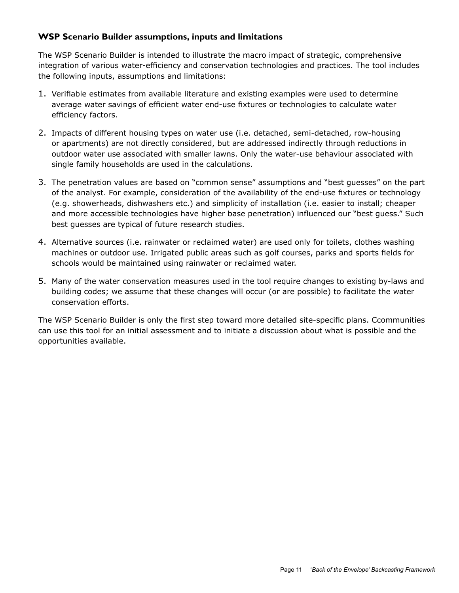#### **WSP Scenario Builder assumptions, inputs and limitations**

The WSP Scenario Builder is intended to illustrate the macro impact of strategic, comprehensive integration of various water-efficiency and conservation technologies and practices. The tool includes the following inputs, assumptions and limitations:

- 1. Verifiable estimates from available literature and existing examples were used to determine average water savings of efficient water end-use fixtures or technologies to calculate water efficiency factors.
- 2. Impacts of different housing types on water use (i.e. detached, semi-detached, row-housing or apartments) are not directly considered, but are addressed indirectly through reductions in outdoor water use associated with smaller lawns. Only the water-use behaviour associated with single family households are used in the calculations.
- 3. The penetration values are based on "common sense" assumptions and "best guesses" on the part of the analyst. For example, consideration of the availability of the end-use fixtures or technology (e.g. showerheads, dishwashers etc.) and simplicity of installation (i.e. easier to install; cheaper and more accessible technologies have higher base penetration) influenced our "best guess." Such best guesses are typical of future research studies.
- 4. Alternative sources (i.e. rainwater or reclaimed water) are used only for toilets, clothes washing machines or outdoor use. Irrigated public areas such as golf courses, parks and sports fields for schools would be maintained using rainwater or reclaimed water.
- 5. Many of the water conservation measures used in the tool require changes to existing by-laws and building codes; we assume that these changes will occur (or are possible) to facilitate the water conservation efforts.

The WSP Scenario Builder is only the first step toward more detailed site-specific plans. Ccommunities can use this tool for an initial assessment and to initiate a discussion about what is possible and the opportunities available.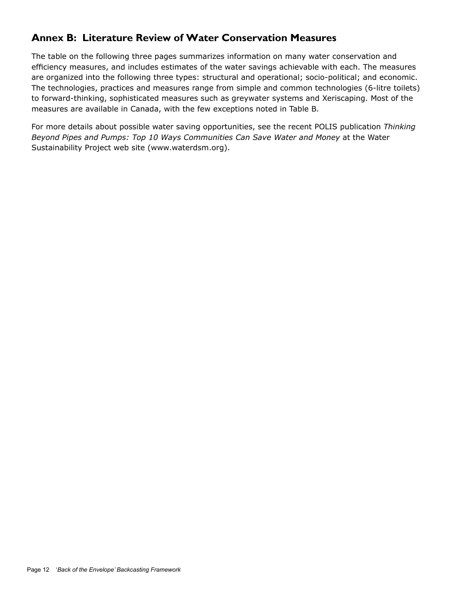## **Annex B: Literature Review of Water Conservation Measures**

The table on the following three pages summarizes information on many water conservation and efficiency measures, and includes estimates of the water savings achievable with each. The measures are organized into the following three types: structural and operational; socio-political; and economic. The technologies, practices and measures range from simple and common technologies (6-litre toilets) to forward-thinking, sophisticated measures such as greywater systems and Xeriscaping. Most of the measures are available in Canada, with the few exceptions noted in Table B.

For more details about possible water saving opportunities, see the recent POLIS publication *Thinking Beyond Pipes and Pumps: Top 10 Ways Communities Can Save Water and Money* at the Water Sustainability Project web site (www.waterdsm.org).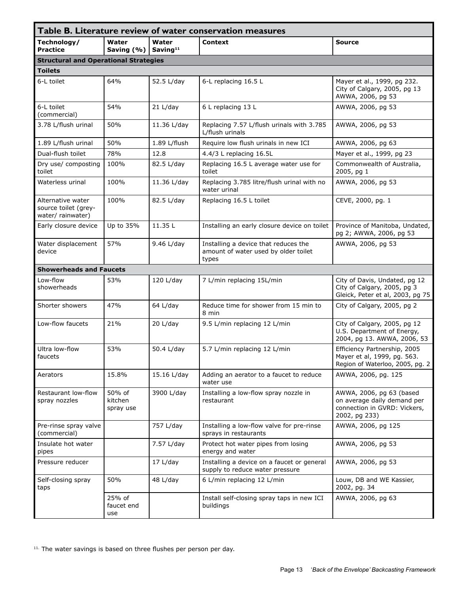|                                                                |                                |                               | Table B. Literature review of water conservation measures                             |                                                                                                          |
|----------------------------------------------------------------|--------------------------------|-------------------------------|---------------------------------------------------------------------------------------|----------------------------------------------------------------------------------------------------------|
| Technology/<br><b>Practice</b>                                 | Water<br>Saving (%)            | Water<br>Saving <sup>11</sup> | Context                                                                               | <b>Source</b>                                                                                            |
| <b>Structural and Operational Strategies</b>                   |                                |                               |                                                                                       |                                                                                                          |
| <b>Toilets</b>                                                 |                                |                               |                                                                                       |                                                                                                          |
| 6-L toilet                                                     | 64%                            | 52.5 L/day                    | 6-L replacing 16.5 L                                                                  | Mayer et al., 1999, pg 232.<br>City of Calgary, 2005, pg 13<br>AWWA, 2006, pg 53                         |
| 6-L toilet<br>(commercial)                                     | 54%                            | 21 L/day                      | 6 L replacing 13 L                                                                    | AWWA, 2006, pg 53                                                                                        |
| 3.78 L/flush urinal                                            | 50%                            | 11.36 L/day                   | Replacing 7.57 L/flush urinals with 3.785<br>L/flush urinals                          | AWWA, 2006, pg 53                                                                                        |
| 1.89 L/flush urinal                                            | 50%                            | 1.89 L/flush                  | Require low flush urinals in new ICI                                                  | AWWA, 2006, pg 63                                                                                        |
| Dual-flush toilet                                              | 78%                            | 12.8                          | 4.4/3 L replacing 16.5L                                                               | Mayer et al., 1999, pg 23                                                                                |
| Dry use/ composting<br>toilet                                  | 100%                           | 82.5 L/day                    | Replacing 16.5 L average water use for<br>toilet                                      | Commonwealth of Australia,<br>2005, pg 1                                                                 |
| Waterless urinal                                               | 100%                           | 11.36 L/day                   | Replacing 3.785 litre/flush urinal with no<br>water urinal                            | AWWA, 2006, pg 53                                                                                        |
| Alternative water<br>source toilet (grey-<br>water/ rainwater) | 100%                           | 82.5 L/day                    | Replacing 16.5 L toilet                                                               | CEVE, 2000, pg. 1                                                                                        |
| Early closure device                                           | Up to 35%                      | 11.35L                        | Installing an early closure device on toilet                                          | Province of Manitoba, Undated,<br>pg 2; AWWA, 2006, pg 53                                                |
| Water displacement<br>device                                   | 57%                            | 9.46 L/day                    | Installing a device that reduces the<br>amount of water used by older toilet<br>types | AWWA, 2006, pg 53                                                                                        |
| <b>Showerheads and Faucets</b>                                 |                                |                               |                                                                                       |                                                                                                          |
| Low-flow<br>showerheads                                        | 53%                            | $120 \text{ L/day}$           | 7 L/min replacing 15L/min                                                             | City of Davis, Undated, pg 12<br>City of Calgary, 2005, pg 3<br>Gleick, Peter et al, 2003, pg 75         |
| Shorter showers                                                | 47%                            | $64$ L/day                    | Reduce time for shower from 15 min to<br>8 min                                        | City of Calgary, 2005, pg 2                                                                              |
| Low-flow faucets                                               | 21%                            | 20 L/day                      | 9.5 L/min replacing 12 L/min                                                          | City of Calgary, 2005, pg 12<br>U.S. Department of Energy,<br>2004, pg 13. AWWA, 2006, 53                |
| Ultra low-flow<br>faucets                                      | 53%                            | 50.4 L/day                    | 5.7 L/min replacing 12 L/min                                                          | Efficiency Partnership, 2005<br>Mayer et al, 1999, pg. 563.<br>Region of Waterloo, 2005, pg. 2           |
| Aerators                                                       | 15.8%                          | 15.16 L/day                   | Adding an aerator to a faucet to reduce<br>water use                                  | AWWA, 2006, pg. 125                                                                                      |
| Restaurant low-flow<br>spray nozzles                           | 50% of<br>kitchen<br>spray use | 3900 L/day                    | Installing a low-flow spray nozzle in<br>restaurant                                   | AWWA, 2006, pg 63 (based<br>on average daily demand per<br>connection in GVRD: Vickers,<br>2002, pg 233) |
| Pre-rinse spray valve<br>(commercial)                          |                                | 757 L/day                     | Installing a low-flow valve for pre-rinse<br>sprays in restaurants                    | AWWA, 2006, pg 125                                                                                       |
| Insulate hot water<br>pipes                                    |                                | 7.57 L/day                    | Protect hot water pipes from losing<br>energy and water                               | AWWA, 2006, pg 53                                                                                        |
| Pressure reducer                                               |                                | 17 L/day                      | Installing a device on a faucet or general<br>supply to reduce water pressure         | AWWA, 2006, pg 53                                                                                        |
| Self-closing spray<br>taps                                     | 50%                            | 48 L/day                      | 6 L/min replacing 12 L/min                                                            | Louw, DB and WE Kassier,<br>2002, pg. 34                                                                 |
|                                                                | 25% of<br>faucet end<br>use    |                               | Install self-closing spray taps in new ICI<br>buildings                               | AWWA, 2006, pg 63                                                                                        |

<sup>11.</sup> The water savings is based on three flushes per person per day.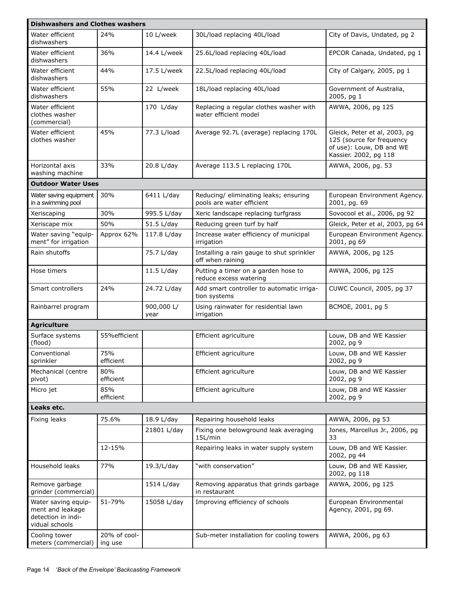| <b>Dishwashers and Clothes washers</b>                                          |                         |                    |                                                                    |                                                                                                                 |
|---------------------------------------------------------------------------------|-------------------------|--------------------|--------------------------------------------------------------------|-----------------------------------------------------------------------------------------------------------------|
| Water efficient<br>dishwashers                                                  | 24%                     | 10 L/week          | 30L/load replacing 40L/load                                        | City of Davis, Undated, pg 2                                                                                    |
| Water efficient<br>dishwashers                                                  | 36%                     | 14.4 L/week        | 25.6L/load replacing 40L/load                                      | EPCOR Canada, Undated, pg 1                                                                                     |
| Water efficient<br>dishwashers                                                  | 44%                     | 17.5 L/week        | 22.5L/load replacing 40L/load                                      | City of Calgary, 2005, pg 1                                                                                     |
| Water efficient<br>dishwashers                                                  | 55%                     | 22 L/week          | 18L/load replacing 40L/load                                        | Government of Australia,<br>2005, pg 1                                                                          |
| Water efficient<br>clothes washer<br>(commercial)                               |                         | 170 L/day          | Replacing a regular clothes washer with<br>water efficient model   | AWWA, 2006, pg 125                                                                                              |
| Water efficient<br>clothes washer                                               | 45%                     | 77.3 L/load        | Average 92.7L (average) replacing 170L                             | Gleick, Peter et al, 2003, pg<br>125 (source for frequency<br>of use): Louw, DB and WE<br>Kassier. 2002, pg 118 |
| Horizontal axis<br>washing machine                                              | 33%                     | 20.8 L/day         | Average 113.5 L replacing 170L                                     | AWWA, 2006, pg. 53                                                                                              |
| <b>Outdoor Water Uses</b>                                                       |                         |                    |                                                                    |                                                                                                                 |
| Water saving equipment<br>in a swimming pool                                    | 30%                     | 6411 L/day         | Reducing/ eliminating leaks; ensuring<br>pools are water efficient | European Environment Agency.<br>2001, pg. 69                                                                    |
| Xeriscaping                                                                     | 30%                     | 995.5 L/day        | Xeric landscape replacing turfgrass                                | Sovocool et al., 2006, pg 92                                                                                    |
| Xeriscape mix                                                                   | 50%                     | 51.5 L/day         | Reducing green turf by half                                        | Gleick, Peter et al, 2003, pg 64                                                                                |
| Water saving "equip-<br>ment" for irrigation                                    | Approx 62%              | 117.8 L/day        | Increase water efficiency of municipal<br>irrigation               | European Environment Agency.<br>2001, pg 69                                                                     |
| Rain shutoffs                                                                   |                         | 75.7 L/day         | Installing a rain gauge to shut sprinkler<br>off when raining      | AWWA, 2006, pg 125                                                                                              |
| Hose timers                                                                     |                         | $11.5$ L/day       | Putting a timer on a garden hose to<br>reduce excess watering      | AWWA, 2006, pg 125                                                                                              |
| Smart controllers                                                               | 24%                     | 24.72 L/day        | Add smart controller to automatic irriga-<br>tion systems          | CUWC Council, 2005, pg 37                                                                                       |
| Rainbarrel program                                                              |                         | 900,000 L/<br>year | Using rainwater for residential lawn<br>irrigation                 | BCMOE, 2001, pg 5                                                                                               |
| <b>Agriculture</b>                                                              |                         |                    |                                                                    |                                                                                                                 |
| Surface systems<br>(flood)                                                      | 55% efficient           |                    | Efficient agriculture                                              | Louw, DB and WE Kassier<br>2002, pg 9                                                                           |
| Conventional<br>sprinkler                                                       | 75%<br>efficient        |                    | Efficient agriculture                                              | Louw, DB and WE Kassier<br>2002, pg 9                                                                           |
| Mechanical (centre<br>pivot)                                                    | 80%<br>efficient        |                    | Efficient agriculture                                              | Louw, DB and WE Kassier<br>2002, pg 9                                                                           |
| Micro jet                                                                       | 85%<br>efficient        |                    | Efficient agriculture                                              | Louw, DB and WE Kassier<br>2002, pg 9                                                                           |
| Leaks etc.                                                                      |                         |                    |                                                                    |                                                                                                                 |
| Fixing leaks                                                                    | 75.6%                   | 18.9 L/day         | Repairing household leaks                                          | AWWA, 2006, pg 53                                                                                               |
|                                                                                 |                         | 21801 L/day        | Fixing one belowground leak averaging<br>15L/min                   | Jones, Marcellus Jr., 2006, pg<br>33                                                                            |
|                                                                                 | 12-15%                  |                    | Repairing leaks in water supply system                             | Louw, DB and WE Kassier.<br>2002, pg 44                                                                         |
| Household leaks                                                                 | 77%                     | 19.3/L/day         | "with conservation"                                                | Louw, DB and WE Kassier,<br>2002, pg 118                                                                        |
| Remove garbage<br>grinder (commercial)                                          |                         | 1514 L/day         | Removing apparatus that grinds garbage<br>in restaurant            | AWWA, 2006, pg 125                                                                                              |
| Water saving equip-<br>ment and leakage<br>detection in indi-<br>vidual schools | 51-79%                  | 15058 L/day        | Improving efficiency of schools                                    | European Environmental<br>Agency, 2001, pg 69.                                                                  |
| Cooling tower<br>meters (commercial)                                            | 20% of cool-<br>ing use |                    | Sub-meter installation for cooling towers                          | AWWA, 2006, pg 63                                                                                               |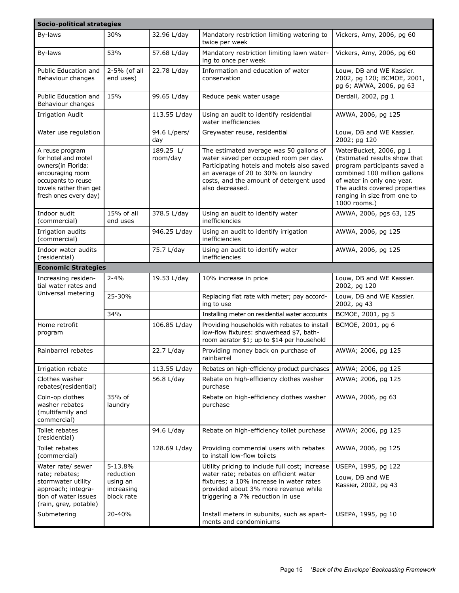| Socio-political strategies                                                                                                                                |                                                              |                       |                                                                                                                                                                                                                                     |                                                                                                                                                                                                                                       |
|-----------------------------------------------------------------------------------------------------------------------------------------------------------|--------------------------------------------------------------|-----------------------|-------------------------------------------------------------------------------------------------------------------------------------------------------------------------------------------------------------------------------------|---------------------------------------------------------------------------------------------------------------------------------------------------------------------------------------------------------------------------------------|
| Bv-laws                                                                                                                                                   | 30%                                                          | 32.96 L/day           | Mandatory restriction limiting watering to<br>twice per week                                                                                                                                                                        | Vickers, Amy, 2006, pg 60                                                                                                                                                                                                             |
| By-laws                                                                                                                                                   | 53%                                                          | 57.68 L/day           | Mandatory restriction limiting lawn water-<br>ing to once per week                                                                                                                                                                  | Vickers, Amy, 2006, pg 60                                                                                                                                                                                                             |
| Public Education and<br>Behaviour changes                                                                                                                 | 2-5% (of all<br>end uses)                                    | 22.78 L/day           | Information and education of water<br>conservation                                                                                                                                                                                  | Louw, DB and WE Kassier.<br>2002, pg 120; BCMOE, 2001,<br>pg 6; AWWA, 2006, pg 63                                                                                                                                                     |
| Public Education and<br>Behaviour changes                                                                                                                 | 15%                                                          | 99.65 L/day           | Reduce peak water usage                                                                                                                                                                                                             | Derdall, 2002, pg 1                                                                                                                                                                                                                   |
| <b>Irrigation Audit</b>                                                                                                                                   |                                                              | 113.55 L/day          | Using an audit to identify residential<br>water inefficiencies                                                                                                                                                                      | AWWA, 2006, pg 125                                                                                                                                                                                                                    |
| Water use regulation                                                                                                                                      |                                                              | 94.6 L/pers/<br>day   | Greywater reuse, residential                                                                                                                                                                                                        | Louw, DB and WE Kassier.<br>2002; pg 120                                                                                                                                                                                              |
| A reuse program<br>for hotel and motel<br>owners(in Florida:<br>encouraging room<br>occupants to reuse<br>towels rather than get<br>fresh ones every day) |                                                              | 189.25 L/<br>room/day | The estimated average was 50 gallons of<br>water saved per occupied room per day.<br>Participating hotels and motels also saved<br>an average of 20 to 30% on laundry<br>costs, and the amount of detergent used<br>also decreased. | WaterBucket, 2006, pg 1<br>(Estimated results show that<br>program participants saved a<br>combined 100 million gallons<br>of water in only one year.<br>The audits covered properties<br>ranging in size from one to<br>1000 rooms.) |
| Indoor audit<br>(commercial)                                                                                                                              | 15% of all<br>end uses                                       | 378.5 L/day           | Using an audit to identify water<br>inefficiencies                                                                                                                                                                                  | AWWA, 2006, pgs 63, 125                                                                                                                                                                                                               |
| Irrigation audits<br>(commercial)                                                                                                                         |                                                              | 946.25 L/day          | Using an audit to identify irrigation<br>inefficiencies                                                                                                                                                                             | AWWA, 2006, pg 125                                                                                                                                                                                                                    |
| Indoor water audits<br>(residential)                                                                                                                      |                                                              | 75.7 L/day            | Using an audit to identify water<br>inefficiencies                                                                                                                                                                                  | AWWA, 2006, pg 125                                                                                                                                                                                                                    |
| <b>Economic Strategies</b>                                                                                                                                |                                                              |                       |                                                                                                                                                                                                                                     |                                                                                                                                                                                                                                       |
| Increasing residen-<br>tial water rates and                                                                                                               | $2 - 4%$                                                     | 19.53 L/day           | 10% increase in price                                                                                                                                                                                                               | Louw, DB and WE Kassier.<br>2002, pg 120                                                                                                                                                                                              |
| Universal metering                                                                                                                                        | 25-30%                                                       |                       | Replacing flat rate with meter; pay accord-<br>ing to use                                                                                                                                                                           | Louw, DB and WE Kassier.<br>2002, pg 43                                                                                                                                                                                               |
|                                                                                                                                                           | 34%                                                          |                       | Installing meter on residential water accounts                                                                                                                                                                                      | BCMOE, 2001, pg 5                                                                                                                                                                                                                     |
| Home retrofit<br>program                                                                                                                                  |                                                              | 106.85 L/day          | Providing households with rebates to install<br>low-flow fixtures: showerhead \$7, bath-<br>room aerator \$1; up to \$14 per household                                                                                              | BCMOE, 2001, pg 6                                                                                                                                                                                                                     |
| Rainbarrel rebates                                                                                                                                        |                                                              | 22.7 L/day            | Providing money back on purchase of<br>rainbarrel                                                                                                                                                                                   | AWWA; 2006, pg 125                                                                                                                                                                                                                    |
| Irrigation rebate                                                                                                                                         |                                                              | 113.55 L/day          | Rebates on high-efficiency product purchases                                                                                                                                                                                        | AWWA; 2006, pg 125                                                                                                                                                                                                                    |
| Clothes washer<br>rebates(residential)                                                                                                                    |                                                              | 56.8 L/day            | Rebate on high-efficiency clothes washer<br>purchase                                                                                                                                                                                | AWWA; 2006, pg 125                                                                                                                                                                                                                    |
| Coin-op clothes<br>washer rebates<br>(multifamily and<br>commercial)                                                                                      | 35% of<br>laundry                                            |                       | Rebate on high-efficiency clothes washer<br>purchase                                                                                                                                                                                | AWWA, 2006, pg 63                                                                                                                                                                                                                     |
| Toilet rebates<br>(residential)                                                                                                                           |                                                              | 94.6 L/day            | Rebate on high-efficiency toilet purchase                                                                                                                                                                                           | AWWA; 2006, pg 125                                                                                                                                                                                                                    |
| Toilet rebates<br>(commercial)                                                                                                                            |                                                              | 128.69 L/day          | Providing commercial users with rebates<br>to install low-flow toilets                                                                                                                                                              | AWWA, 2006, pg 125                                                                                                                                                                                                                    |
| Water rate/ sewer<br>rate; rebates;<br>stormwater utility<br>approach; integra-<br>tion of water issues<br>(rain, grey, potable)                          | 5-13.8%<br>reduction<br>using an<br>increasing<br>block rate |                       | Utility pricing to include full cost; increase<br>water rate; rebates on efficient water<br>fixtures; a 10% increase in water rates<br>provided about 3% more revenue while<br>triggering a 7% reduction in use                     | USEPA, 1995, pg 122<br>Louw, DB and WE<br>Kassier, 2002, pg 43                                                                                                                                                                        |
| Submetering                                                                                                                                               | 20-40%                                                       |                       | Install meters in subunits, such as apart-<br>ments and condominiums                                                                                                                                                                | USEPA, 1995, pg 10                                                                                                                                                                                                                    |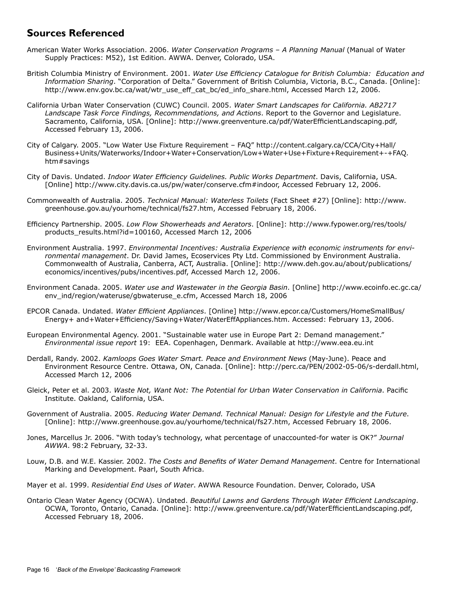## **Sources Referenced**

- American Water Works Association. 2006. *Water Conservation Programs A Planning Manual* (Manual of Water Supply Practices: M52), 1st Edition. AWWA. Denver, Colorado, USA.
- British Columbia Ministry of Environment. 2001. *Water Use Efficiency Catalogue for British Columbia: Education and Information Sharing*. "Corporation of Delta." Government of British Columbia, Victoria, B.C., Canada. [Online]: http://www.env.gov.bc.ca/wat/wtr\_use\_eff\_cat\_bc/ed\_info\_share.html, Accessed March 12, 2006.
- California Urban Water Conservation (CUWC) Council. 2005. *Water Smart Landscapes for California. AB2717 Landscape Task Force Findings, Recommendations, and Actions*. Report to the Governor and Legislature. Sacramento, California, USA. [Online]: http://www.greenventure.ca/pdf/WaterEfficientLandscaping.pdf, Accessed February 13, 2006.
- City of Calgary. 2005. "Low Water Use Fixture Requirement FAQ" http://content.calgary.ca/CCA/City+Hall/ Business+Units/Waterworks/Indoor+Water+Conservation/Low+Water+Use+Fixture+Requirement+-+FAQ. htm#savings
- City of Davis. Undated. *Indoor Water Efficiency Guidelines. Public Works Department*. Davis, California, USA. [Online] http://www.city.davis.ca.us/pw/water/conserve.cfm#indoor, Accessed February 12, 2006.
- Commonwealth of Australia. 2005. *Technical Manual: Waterless Toilets* (Fact Sheet #27) [Online]: http://www. greenhouse.gov.au/yourhome/technical/fs27.htm, Accessed February 18, 2006.
- Efficiency Partnership. 2005. *Low Flow Showerheads and Aerators*. [Online]: http://www.fypower.org/res/tools/ products\_results.html?id=100160, Accessed March 12, 2006
- Environment Australia. 1997. *Environmental Incentives: Australia Experience with economic instruments for environmental management*. Dr. David James, Ecoservices Pty Ltd. Commissioned by Environment Australia. Commonwealth of Australia, Canberra, ACT, Australia. [Online]: http://www.deh.gov.au/about/publications/ economics/incentives/pubs/incentives.pdf, Accessed March 12, 2006.
- Environment Canada. 2005. *Water use and Wastewater in the Georgia Basin*. [Online] http://www.ecoinfo.ec.gc.ca/ env\_ind/region/wateruse/gbwateruse\_e.cfm, Accessed March 18, 2006
- EPCOR Canada. Undated. *Water Efficient Appliances*. [Online] http://www.epcor.ca/Customers/HomeSmallBus/ Energy+ and+Water+Efficiency/Saving+Water/WaterEffAppliances.htm. Accessed: February 13, 2006.
- European Environmental Agency. 2001. "Sustainable water use in Europe Part 2: Demand management." *Environmental issue report* 19: EEA. Copenhagen, Denmark. Available at http://www.eea.eu.int
- Derdall, Randy. 2002. *Kamloops Goes Water Smart. Peace and Environment News* (May-June). Peace and Environment Resource Centre. Ottawa, ON, Canada. [Online]: http://perc.ca/PEN/2002-05-06/s-derdall.html, Accessed March 12, 2006
- Gleick, Peter et al. 2003. *Waste Not, Want Not: The Potential for Urban Water Conservation in California*. Pacific Institute. Oakland, California, USA.
- Government of Australia. 2005. *Reducing Water Demand. Technical Manual: Design for Lifestyle and the Future*. [Online]: http://www.greenhouse.gov.au/yourhome/technical/fs27.htm, Accessed February 18, 2006.
- Jones, Marcellus Jr. 2006. "With today's technology, what percentage of unaccounted-for water is OK?" *Journal AWWA*. 98:2 February, 32-33.
- Louw, D.B. and W.E. Kassier. 2002. *The Costs and Benefits of Water Demand Management*. Centre for International Marking and Development. Paarl, South Africa.
- Mayer et al. 1999. *Residential End Uses of Water*. AWWA Resource Foundation. Denver, Colorado, USA
- Ontario Clean Water Agency (OCWA). Undated. *Beautiful Lawns and Gardens Through Water Efficient Landscaping*. OCWA, Toronto, Ontario, Canada. [Online]: http://www.greenventure.ca/pdf/WaterEfficientLandscaping.pdf, Accessed February 18, 2006.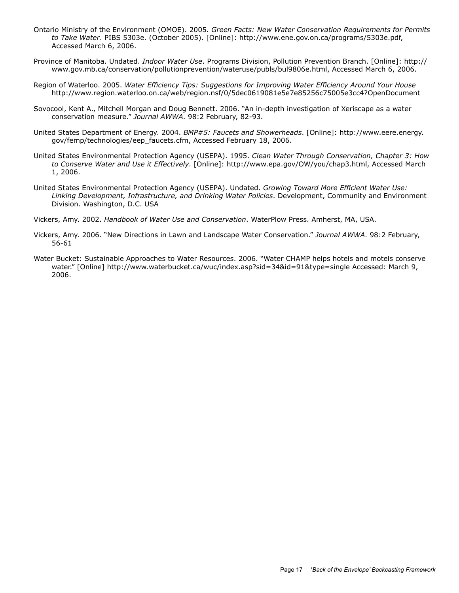- Ontario Ministry of the Environment (OMOE). 2005. *Green Facts: New Water Conservation Requirements for Permits to Take Water*. PIBS 5303e. (October 2005). [Online]: http://www.ene.gov.on.ca/programs/5303e.pdf, Accessed March 6, 2006.
- Province of Manitoba. Undated. *Indoor Water Use*. Programs Division, Pollution Prevention Branch. [Online]: http:// www.gov.mb.ca/conservation/pollutionprevention/wateruse/publs/bul9806e.html, Accessed March 6, 2006.
- Region of Waterloo. 2005. *Water Efficiency Tips: Suggestions for Improving Water Efficiency Around Your House* http://www.region.waterloo.on.ca/web/region.nsf/0/5dec0619081e5e7e85256c75005e3cc4?OpenDocument
- Sovocool, Kent A., Mitchell Morgan and Doug Bennett. 2006. "An in-depth investigation of Xeriscape as a water conservation measure." *Journal AWWA*. 98:2 February, 82-93.
- United States Department of Energy. 2004. *BMP#5: Faucets and Showerheads*. [Online]: http://www.eere.energy. gov/femp/technologies/eep\_faucets.cfm, Accessed February 18, 2006.
- United States Environmental Protection Agency (USEPA). 1995. *Clean Water Through Conservation, Chapter 3: How to Conserve Water and Use it Effectively*. [Online]: http://www.epa.gov/OW/you/chap3.html, Accessed March 1, 2006.
- United States Environmental Protection Agency (USEPA). Undated. *Growing Toward More Efficient Water Use: Linking Development, Infrastructure, and Drinking Water Policies*. Development, Community and Environment Division. Washington, D.C. USA
- Vickers, Amy. 2002. *Handbook of Water Use and Conservation*. WaterPlow Press. Amherst, MA, USA.
- Vickers, Amy. 2006. "New Directions in Lawn and Landscape Water Conservation." *Journal AWWA*. 98:2 February, 56-61
- Water Bucket: Sustainable Approaches to Water Resources. 2006. "Water CHAMP helps hotels and motels conserve water." [Online] http://www.waterbucket.ca/wuc/index.asp?sid=34&id=91&type=single Accessed: March 9, 2006.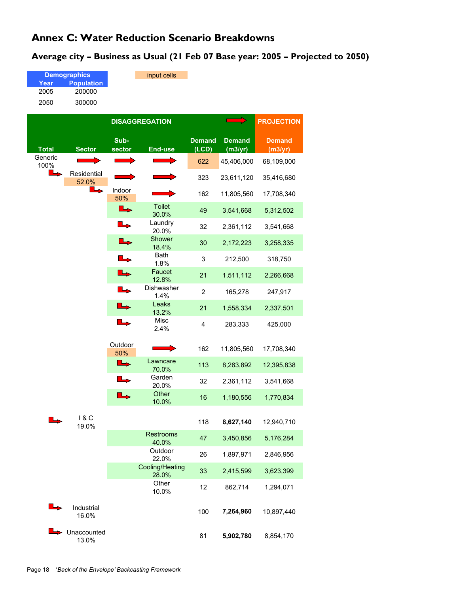## **Annex C: Water Reduction Scenario Breakdowns**

#### **Average city – Business as Usual (21 Feb 07 Base year: 2005 – Projected to 2050)**

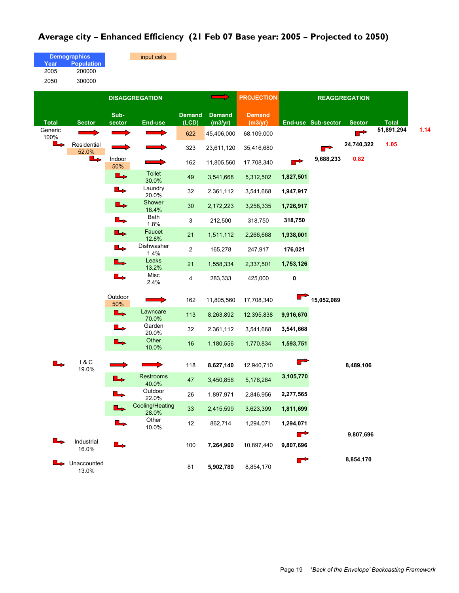#### **Average city – Enhanced Efficiency (21 Feb 07 Base year: 2005 – Projected to 2050)**

input cells

|      | <b>Demographics</b> |
|------|---------------------|
| Year | <b>Population</b>   |
| 2005 | 200000              |
| 2050 | 300000              |

|                 | <b>DISAGGREGATION</b>              |                       |                          |                        | <b>PROJECTION</b>        | <b>REAGGREGATION</b>     |                |                    |                |              |      |
|-----------------|------------------------------------|-----------------------|--------------------------|------------------------|--------------------------|--------------------------|----------------|--------------------|----------------|--------------|------|
| <b>Total</b>    | <b>Sector</b>                      | Sub-<br>sector        | <b>End-use</b>           | <b>Demand</b><br>(LCD) | <b>Demand</b><br>(m3/yr) | <b>Demand</b><br>(m3/yr) |                | End-use Sub-sector | <b>Sector</b>  | <b>Total</b> |      |
| Generic<br>100% |                                    |                       |                          | 622                    | 45,406,000               | 68,109,000               |                |                    | $\blacksquare$ | 51,891,294   | 1.14 |
| $\rightarrow$   | Residential<br>52.0%               |                       |                          | 323                    | 23,611,120               | 35,416,680               |                |                    | 24,740,322     | 1.05         |      |
|                 | ┗                                  | Indoor<br>50%         |                          | 162                    | 11,805,560               | 17,708,340               | $\blacksquare$ | 9,688,233          | 0.82           |              |      |
|                 |                                    | L                     | <b>Toilet</b><br>30.0%   | 49                     | 3,541,668                | 5,312,502                | 1,827,501      |                    |                |              |      |
|                 |                                    | L,                    | Laundry<br>20.0%         | 32                     | 2,361,112                | 3,541,668                | 1,947,917      |                    |                |              |      |
|                 |                                    | ┗                     | Shower<br>18.4%          | 30                     | 2,172,223                | 3,258,335                | 1,726,917      |                    |                |              |      |
|                 |                                    | ┗                     | Bath<br>1.8%             | 3                      | 212,500                  | 318,750                  | 318,750        |                    |                |              |      |
|                 |                                    | L                     | Faucet<br>12.8%          | 21                     | 1,511,112                | 2,266,668                | 1,938,001      |                    |                |              |      |
|                 |                                    | L.                    | Dishwasher<br>1.4%       | 2                      | 165,278                  | 247,917                  | 176,021        |                    |                |              |      |
|                 |                                    | $\rightarrow$         | Leaks<br>13.2%           | 21                     | 1,558,334                | 2,337,501                | 1,753,126      |                    |                |              |      |
|                 |                                    | $\blacktriangleright$ | Misc<br>2.4%             | 4                      | 283,333                  | 425,000                  | 0              |                    |                |              |      |
|                 |                                    | Outdoor<br>50%        |                          | 162                    | 11,805,560               | 17,708,340               |                | 15,052,089         |                |              |      |
|                 |                                    | L                     | Lawncare<br>70.0%        | 113                    | 8,263,892                | 12,395,838               | 9,916,670      |                    |                |              |      |
|                 |                                    | L.                    | Garden<br>20.0%          | 32                     | 2,361,112                | 3,541,668                | 3,541,668      |                    |                |              |      |
|                 |                                    |                       | Other<br>10.0%           | 16                     | 1,180,556                | 1,770,834                | 1,593,751      |                    |                |              |      |
|                 | 1 & C<br>19.0%                     |                       |                          | 118                    | 8,627,140                | 12,940,710               | $\blacksquare$ |                    | 8,489,106      |              |      |
|                 |                                    | ┺                     | Restrooms<br>40.0%       | 47                     | 3,450,856                | 5,176,284                | 3,105,770      |                    |                |              |      |
|                 |                                    |                       | Outdoor<br>22.0%         | 26                     | 1,897,971                | 2,846,956                | 2,277,565      |                    |                |              |      |
|                 |                                    |                       | Cooling/Heating<br>28.0% | 33                     | 2,415,599                | 3,623,399                | 1,811,699      |                    |                |              |      |
|                 |                                    |                       | Other<br>10.0%           | 12                     | 862,714                  | 1,294,071                | 1,294,071      |                    |                |              |      |
|                 | Industrial<br>16.0%                |                       |                          | 100                    | 7,264,960                | 10,897,440               | ┏<br>9,807,696 |                    | 9,807,696      |              |      |
|                 | $\rightarrow$ Unaccounted<br>13.0% |                       |                          | 81                     | 5,902,780                | 8,854,170                |                |                    | 8,854,170      |              |      |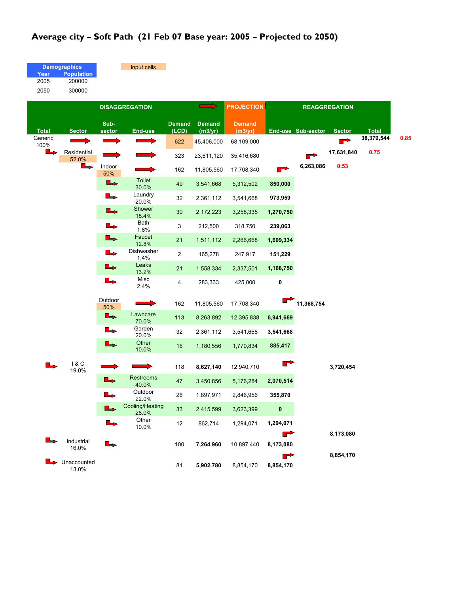## **Average city – Soft Path (21 Feb 07 Base year: 2005 – Projected to 2050)**

input cells

| <b>Demographics</b> |                   |  |  |  |  |  |  |
|---------------------|-------------------|--|--|--|--|--|--|
| Year                | <b>Population</b> |  |  |  |  |  |  |
| 2005                | 200000            |  |  |  |  |  |  |
| 2050                | 300000            |  |  |  |  |  |  |

|                 |                      | <b>DISAGGREGATION</b> |                             |                        |                          |                          |                | <b>PROJECTION</b>  | <b>REAGGREGATION</b> |              |  |  |  |
|-----------------|----------------------|-----------------------|-----------------------------|------------------------|--------------------------|--------------------------|----------------|--------------------|----------------------|--------------|--|--|--|
| <b>Total</b>    | <b>Sector</b>        | Sub-<br>sector        | <b>End-use</b>              | <b>Demand</b><br>(LCD) | <b>Demand</b><br>(m3/yr) | <b>Demand</b><br>(m3/yr) |                | End-use Sub-sector | <b>Sector</b>        | <b>Total</b> |  |  |  |
| Generic<br>100% |                      |                       |                             | 622                    | 45,406,000               | 68,109,000               |                |                    |                      | 38,379,544   |  |  |  |
| L               | Residential<br>52.0% |                       |                             | 323                    | 23,611,120               | 35,416,680               |                |                    | 17,631,840           | 0.75         |  |  |  |
|                 |                      | Indoor<br>50%         |                             | 162                    | 11,805,560               | 17,708,340               | $\blacksquare$ | 6,263,086          | 0.53                 |              |  |  |  |
|                 |                      | ┗                     | Toilet<br>30.0%             | 49                     | 3,541,668                | 5,312,502                | 850,000        |                    |                      |              |  |  |  |
|                 |                      |                       | Laundry<br>20.0%            | 32                     | 2,361,112                | 3,541,668                | 973,959        |                    |                      |              |  |  |  |
|                 |                      | L                     | Shower<br>18.4%             | 30                     | 2,172,223                | 3,258,335                | 1,270,750      |                    |                      |              |  |  |  |
|                 |                      | ┗→                    | Bath<br>1.8%                | 3                      | 212,500                  | 318,750                  | 239,063        |                    |                      |              |  |  |  |
|                 |                      | L                     | Faucet                      | 21                     | 1,511,112                | 2,266,668                | 1,609,334      |                    |                      |              |  |  |  |
|                 |                      |                       | 12.8%<br>Dishwasher<br>1.4% | $\overline{2}$         | 165,278                  | 247,917                  | 151,229        |                    |                      |              |  |  |  |
|                 |                      | ┺                     | Leaks                       | 21                     | 1,558,334                | 2,337,501                | 1,168,750      |                    |                      |              |  |  |  |
|                 |                      | L                     | 13.2%<br>Misc<br>2.4%       | 4                      | 283,333                  | 425,000                  | 0              |                    |                      |              |  |  |  |
|                 |                      | Outdoor<br>50%        |                             | 162                    | 11,805,560               | 17,708,340               |                | 11,368,754         |                      |              |  |  |  |
|                 |                      | ll,                   | Lawncare<br>70.0%           | 113                    | 8,263,892                | 12,395,838               | 6,941,669      |                    |                      |              |  |  |  |
|                 |                      | ll,                   | Garden<br>20.0%             | 32                     | 2,361,112                | 3,541,668                | 3,541,668      |                    |                      |              |  |  |  |
|                 |                      | L                     | Other<br>10.0%              | 16                     | 1,180,556                | 1,770,834                | 885,417        |                    |                      |              |  |  |  |
|                 | 18C<br>19.0%         |                       |                             | 118                    | 8,627,140                | 12,940,710               | r              |                    | 3,720,454            |              |  |  |  |
|                 |                      |                       | <b>Restrooms</b><br>40.0%   | 47                     | 3,450,856                | 5,176,284                | 2,070,514      |                    |                      |              |  |  |  |
|                 |                      |                       | Outdoor<br>22.0%            | 26                     | 1,897,971                | 2,846,956                | 355,870        |                    |                      |              |  |  |  |
|                 |                      |                       | Cooling/Heating<br>28.0%    | 33                     | 2,415,599                | 3,623,399                | $\pmb{0}$      |                    |                      |              |  |  |  |
|                 |                      |                       | Other<br>10.0%              | 12                     | 862,714                  | 1,294,071                | 1,294,071      |                    |                      |              |  |  |  |
|                 | Industrial<br>16.0%  |                       |                             | 100                    | 7,264,960                | 10,897,440               | ┏<br>8,173,080 |                    | 8,173,080            |              |  |  |  |
|                 | Unaccounted<br>13.0% |                       |                             | 81                     | 5,902,780                | 8,854,170                | r<br>8,854,170 |                    | 8,854,170            |              |  |  |  |